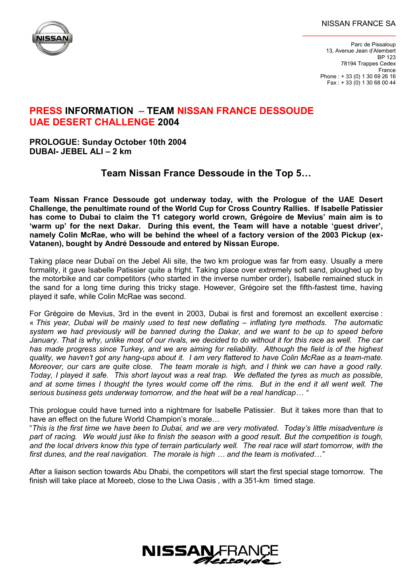## NISSAN FRANCE SA

\_\_\_\_\_\_\_\_\_\_\_\_\_\_\_\_\_\_\_\_\_\_



Parc de Pissaloup 13, Avenue Jean d'Alembert BP 123 78194 Trappes Cedex France Phone : + 33 (0) 1 30 69 26 16 Fax : + 33 (0) 1 30 68 00 44

## **PRESS INFORMATION – TEAM NISSAN FRANCE DESSOUDE UAE DESERT CHALLENGE 2004**

## **PROLOGUE: Sunday October 10th 2004 DUBAI- JEBEL ALI – 2 km**

# **Team Nissan France Dessoude in the Top 5…**

**Team Nissan France Dessoude got underway today, with the Prologue of the UAE Desert Challenge, the penultimate round of the World Cup for Cross Country Rallies. If Isabelle Patissier has come to Dubai to claim the T1 category world crown, Grégoire de Mevius' main aim is to 'warm up' for the next Dakar. During this event, the Team will have a notable 'guest driver', namely Colin McRae, who will be behind the wheel of a factory version of the 2003 Pickup (ex-Vatanen), bought by André Dessoude and entered by Nissan Europe.** 

Taking place near Dubaï on the Jebel Ali site, the two km prologue was far from easy. Usually a mere formality, it gave Isabelle Patissier quite a fright. Taking place over extremely soft sand, ploughed up by the motorbike and car competitors (who started in the inverse number order), Isabelle remained stuck in the sand for a long time during this tricky stage. However, Grégoire set the fifth-fastest time, having played it safe, while Colin McRae was second.

For Grégoire de Mevius, 3rd in the event in 2003, Dubai is first and foremost an excellent exercise : « *This year, Dubai will be mainly used to test new deflating – inflating tyre methods. The automatic system we had previously will be banned during the Dakar, and we want to be up to speed before January. That is why, unlike most of our rivals, we decided to do without it for this race as well. The car has made progress since Turkey, and we are aiming for reliability. Although the field is of the highest quality, we haven't got any hang-ups about it. I am very flattered to have Colin McRae as a team-mate. Moreover, our cars are quite close. The team morale is high, and I think we can have a good rally. Today, I played it safe. This short layout was a real trap. We deflated the tyres as much as possible, and at some times I thought the tyres would come off the rims. But in the end it all went well. The serious business gets underway tomorrow, and the heat will be a real handicap… "* 

This prologue could have turned into a nightmare for Isabelle Patissier. But it takes more than that to have an effect on the future World Champion's morale…

"*This is the first time we have been to Dubai, and we are very motivated. Today's little misadventure is part of racing. We would just like to finish the season with a good result. But the competition is tough, and the local drivers know this type of terrain particularly well. The real race will start tomorrow, with the first dunes, and the real navigation. The morale is high … and the team is motivated…"* 

After a liaison section towards Abu Dhabi, the competitors will start the first special stage tomorrow. The finish will take place at Moreeb, close to the Liwa Oasis , with a 351-km timed stage.